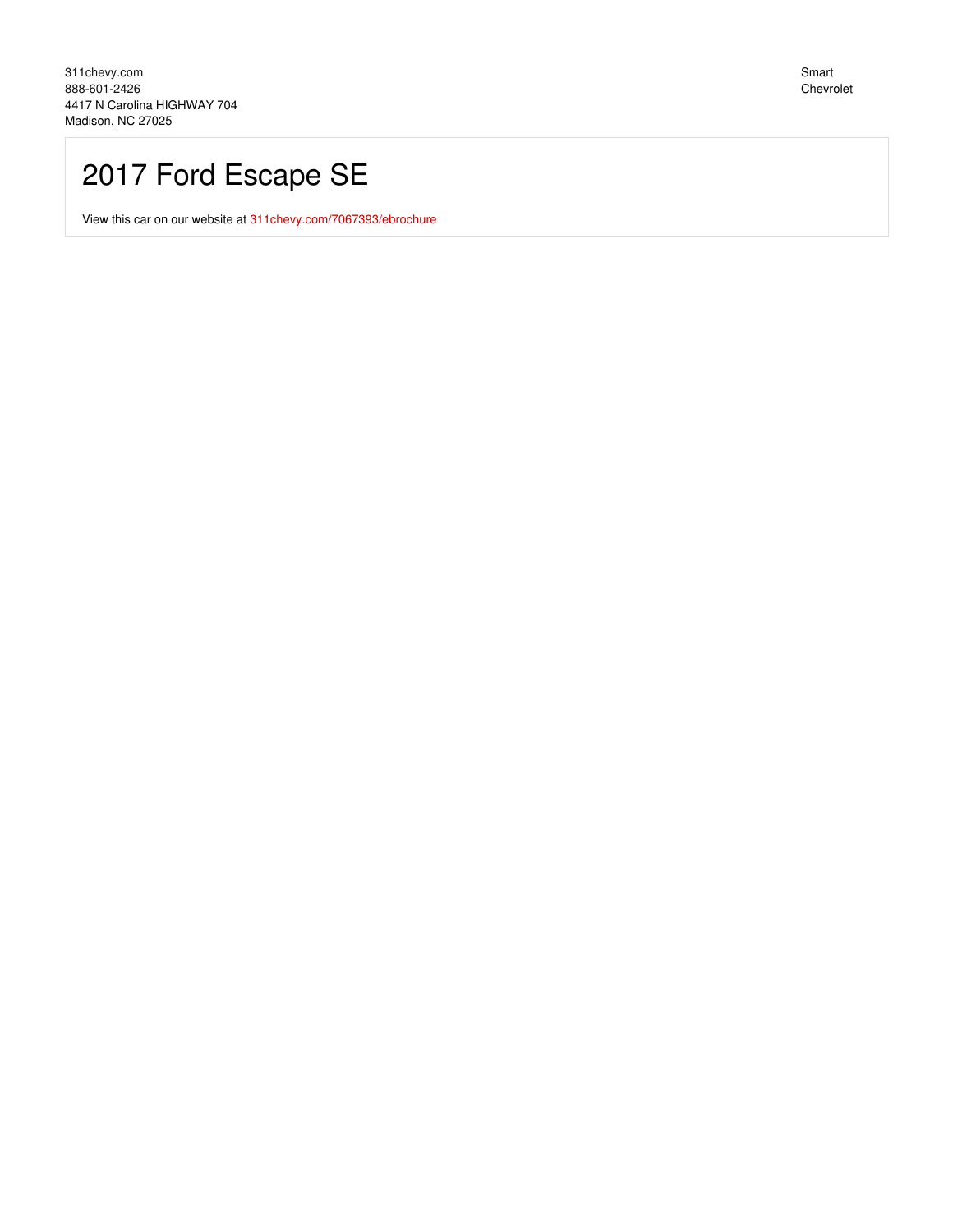# 2017 Ford Escape SE

View this car on our website at 311 chevy.com/7067393/ebrochure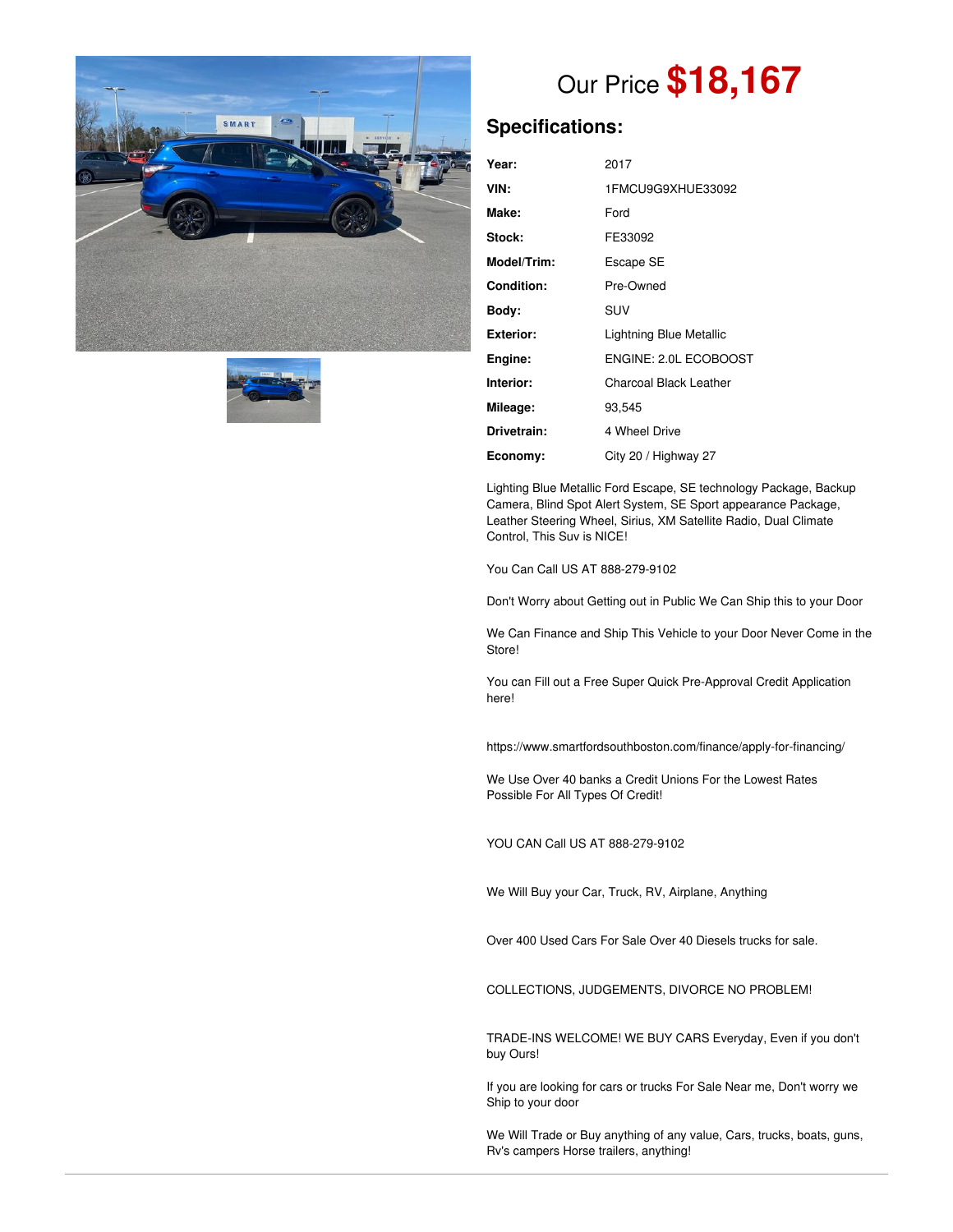



# Our Price **\$18,167**

### **Specifications:**

| Year:       | 2017                          |
|-------------|-------------------------------|
| VIN:        | 1FMCU9G9XHUE33092             |
| Make:       | Ford                          |
| Stock:      | FE33092                       |
| Model/Trim: | Escape SE                     |
| Condition:  | Pre-Owned                     |
| Bodv:       | SUV                           |
| Exterior:   | Lightning Blue Metallic       |
| Engine:     | ENGINE: 2.0L ECOBOOST         |
| Interior:   | <b>Charcoal Black Leather</b> |
| Mileage:    | 93,545                        |
| Drivetrain: | 4 Wheel Drive                 |
| Economy:    | City 20 / Highway 27          |

Lighting Blue Metallic Ford Escape, SE technology Package, Backup Camera, Blind Spot Alert System, SE Sport appearance Package, Leather Steering Wheel, Sirius, XM Satellite Radio, Dual Climate Control, This Suv is NICE!

You Can Call US AT 888-279-9102

Don't Worry about Getting out in Public We Can Ship this to your Door

We Can Finance and Ship This Vehicle to your Door Never Come in the Store!

You can Fill out a Free Super Quick Pre-Approval Credit Application here!

https://www.smartfordsouthboston.com/finance/apply-for-financing/

We Use Over 40 banks a Credit Unions For the Lowest Rates Possible For All Types Of Credit!

YOU CAN Call US AT 888-279-9102

We Will Buy your Car, Truck, RV, Airplane, Anything

Over 400 Used Cars For Sale Over 40 Diesels trucks for sale.

COLLECTIONS, JUDGEMENTS, DIVORCE NO PROBLEM!

TRADE-INS WELCOME! WE BUY CARS Everyday, Even if you don't buy Ours!

If you are looking for cars or trucks For Sale Near me, Don't worry we Ship to your door

We Will Trade or Buy anything of any value, Cars, trucks, boats, guns, Rv's campers Horse trailers, anything!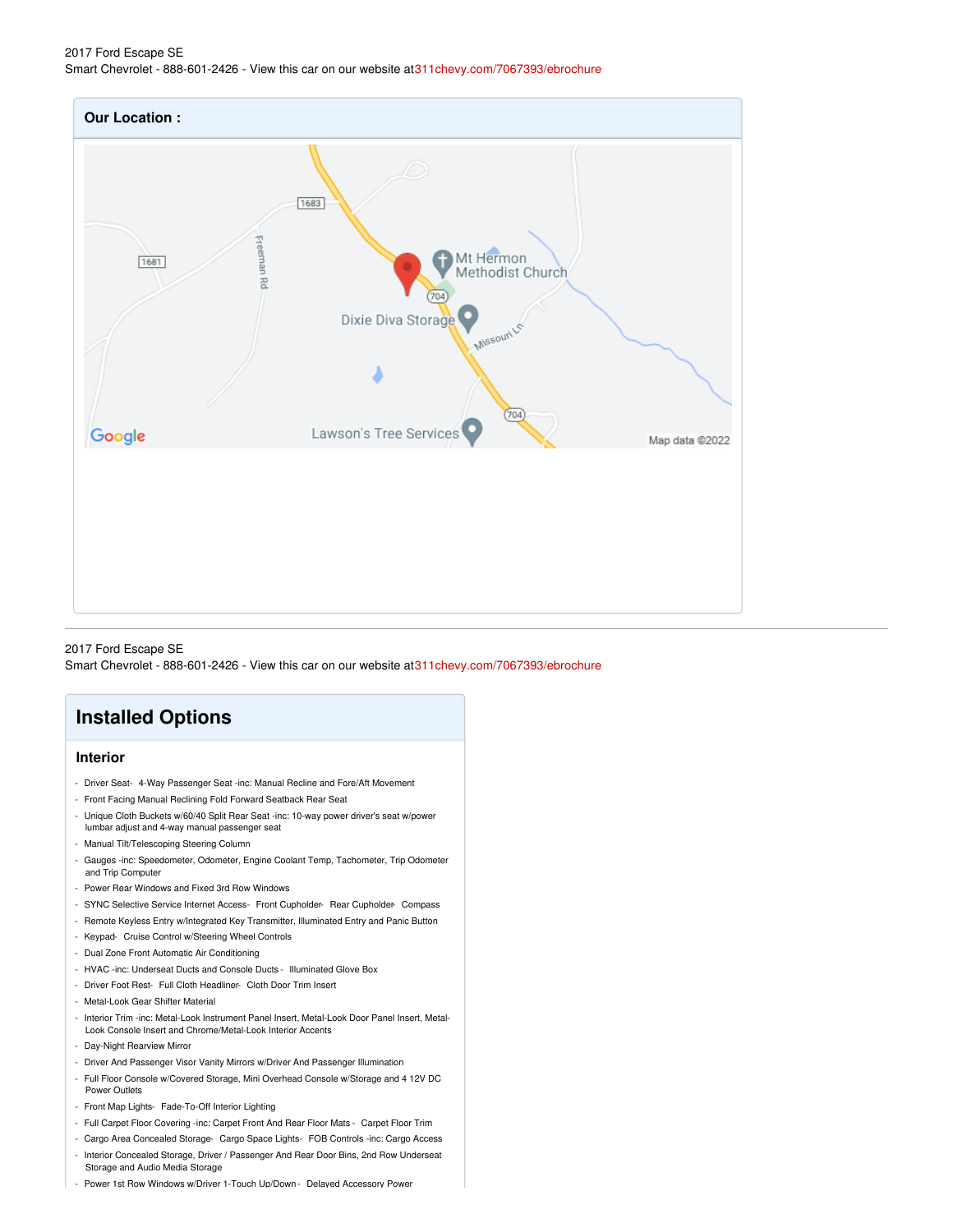#### 2017 Ford Escape SE Smart Chevrolet - 888-601-2426 - View this car on our website a[t311chevy.com/7067393/ebrochure](https://311chevy.com/vehicle/7067393/2017-ford-escape-se-madison-nc-27025/7067393/ebrochure)



#### 2017 Ford Escape SE

Smart Chevrolet - 888-601-2426 - View this car on our website a[t311chevy.com/7067393/ebrochure](https://311chevy.com/vehicle/7067393/2017-ford-escape-se-madison-nc-27025/7067393/ebrochure)

### **Installed Options**

#### **Interior**

- Driver Seat- 4-Way Passenger Seat -inc: Manual Recline and Fore/Aft Movement
- Front Facing Manual Reclining Fold Forward Seatback Rear Seat
- Unique Cloth Buckets w/60/40 Split Rear Seat -inc: 10-way power driver's seat w/power
- lumbar adjust and 4-way manual passenger seat
- Manual Tilt/Telescoping Steering Column
- Gauges -inc: Speedometer, Odometer, Engine Coolant Temp, Tachometer, Trip Odometer and Trip Computer
- Power Rear Windows and Fixed 3rd Row Windows
- SYNC Selective Service Internet Access- Front Cupholder- Rear Cupholder- Compass
- Remote Keyless Entry w/Integrated Key Transmitter, Illuminated Entry and Panic Button
- Keypad- Cruise Control w/Steering Wheel Controls
- Dual Zone Front Automatic Air Conditioning
- HVAC -inc: Underseat Ducts and Console Ducts Illuminated Glove Box
- Driver Foot Rest- Full Cloth Headliner- Cloth Door Trim Insert
- Metal-Look Gear Shifter Material
- Interior Trim -inc: Metal-Look Instrument Panel Insert, Metal-Look Door Panel Insert, Metal-Look Console Insert and Chrome/Metal-Look Interior Accents
- Day-Night Rearview Mirror
- Driver And Passenger Visor Vanity Mirrors w/Driver And Passenger Illumination
- Full Floor Console w/Covered Storage, Mini Overhead Console w/Storage and 4 12V DC Power Outlets
- Front Map Lights- Fade-To-Off Interior Lighting
- Full Carpet Floor Covering -inc: Carpet Front And Rear Floor Mats Carpet Floor Trim
- Cargo Area Concealed Storage- Cargo Space Lights- FOB Controls -inc: Cargo Access - Interior Concealed Storage, Driver / Passenger And Rear Door Bins, 2nd Row Underseat
- Storage and Audio Media Storage
- Power 1st Row Windows w/Driver 1-Touch Up/Down Delaved Accessorv Power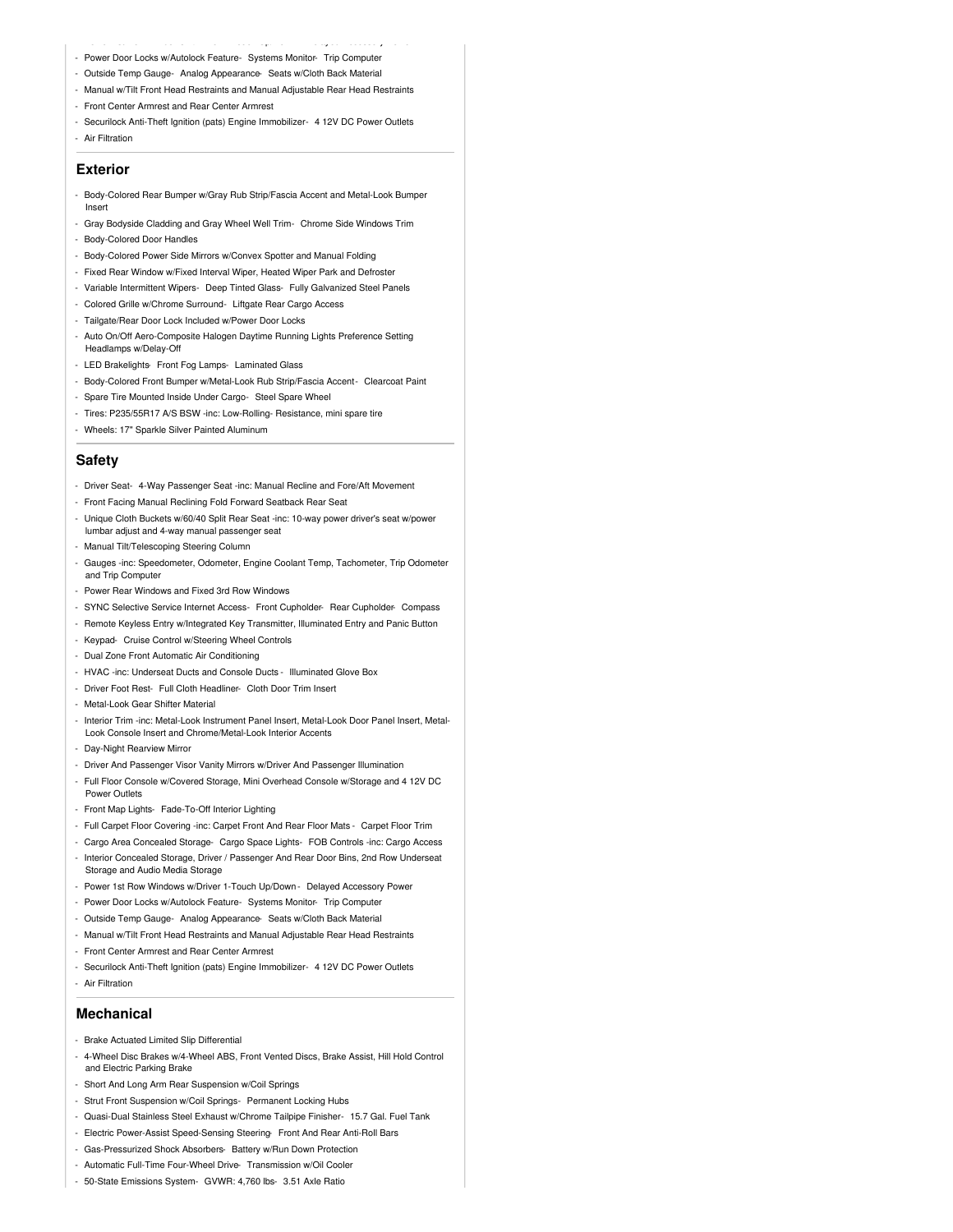- Power 1st Row Windows w/Driver 1-Touch Up/Down Delayed Accessory Power - Power Door Locks w/Autolock Feature- Systems Monitor- Trip Computer
- Outside Temp Gauge- Analog Appearance- Seats w/Cloth Back Material
- Manual w/Tilt Front Head Restraints and Manual Adjustable Rear Head Restraints
- Front Center Armrest and Rear Center Armrest
- Securilock Anti-Theft Ignition (pats) Engine Immobilizer- 4 12V DC Power Outlets - Air Filtration

#### **Exterior**

- Body-Colored Rear Bumper w/Gray Rub Strip/Fascia Accent and Metal-Look Bumper Insert
- Gray Bodyside Cladding and Gray Wheel Well Trim- Chrome Side Windows Trim
- Body-Colored Door Handles
- Body-Colored Power Side Mirrors w/Convex Spotter and Manual Folding
- Fixed Rear Window w/Fixed Interval Wiper, Heated Wiper Park and Defroster
- Variable Intermittent Wipers- Deep Tinted Glass- Fully Galvanized Steel Panels
- Colored Grille w/Chrome Surround- Liftgate Rear Cargo Access
- Tailgate/Rear Door Lock Included w/Power Door Locks
- Auto On/Off Aero-Composite Halogen Daytime Running Lights Preference Setting Headlamps w/Delay-Off
- LED Brakelights- Front Fog Lamps- Laminated Glass
- Body-Colored Front Bumper w/Metal-Look Rub Strip/Fascia Accent- Clearcoat Paint
- Spare Tire Mounted Inside Under Cargo- Steel Spare Wheel
- Tires: P235/55R17 A/S BSW -inc: Low-Rolling- Resistance, mini spare tire
- Wheels: 17" Sparkle Silver Painted Aluminum

#### **Safety**

- Driver Seat- 4-Way Passenger Seat -inc: Manual Recline and Fore/Aft Movement
- Front Facing Manual Reclining Fold Forward Seatback Rear Seat
- Unique Cloth Buckets w/60/40 Split Rear Seat -inc: 10-way power driver's seat w/power lumbar adjust and 4-way manual passenger seat
- Manual Tilt/Telescoping Steering Column
- Gauges -inc: Speedometer, Odometer, Engine Coolant Temp, Tachometer, Trip Odometer and Trip Computer
- Power Rear Windows and Fixed 3rd Row Windows
- SYNC Selective Service Internet Access- Front Cupholder- Rear Cupholder- Compass
- Remote Keyless Entry w/Integrated Key Transmitter, Illuminated Entry and Panic Button
- Keypad- Cruise Control w/Steering Wheel Controls
- Dual Zone Front Automatic Air Conditioning
- HVAC -inc: Underseat Ducts and Console Ducts Illuminated Glove Box
- Driver Foot Rest- Full Cloth Headliner- Cloth Door Trim Insert
- Metal-Look Gear Shifter Material
- Interior Trim -inc: Metal-Look Instrument Panel Insert, Metal-Look Door Panel Insert, Metal-Look Console Insert and Chrome/Metal-Look Interior Accents
- Day-Night Rearview Mirror
- Driver And Passenger Visor Vanity Mirrors w/Driver And Passenger Illumination
- Full Floor Console w/Covered Storage, Mini Overhead Console w/Storage and 4 12V DC Power Outlets
- Front Map Lights- Fade-To-Off Interior Lighting
- Full Carpet Floor Covering -inc: Carpet Front And Rear Floor Mats Carpet Floor Trim
- Cargo Area Concealed Storage- Cargo Space Lights- FOB Controls -inc: Cargo Access - Interior Concealed Storage, Driver / Passenger And Rear Door Bins, 2nd Row Underseat Storage and Audio Media Storage
- Power 1st Row Windows w/Driver 1-Touch Up/Down Delayed Accessory Power
- Power Door Locks w/Autolock Feature- Systems Monitor- Trip Computer
- Outside Temp Gauge- Analog Appearance- Seats w/Cloth Back Material
- Manual w/Tilt Front Head Restraints and Manual Adjustable Rear Head Restraints
- Front Center Armrest and Rear Center Armrest
- Securilock Anti-Theft Ignition (pats) Engine Immobilizer- 4 12V DC Power Outlets
- Air Filtration

#### **Mechanical**

- Brake Actuated Limited Slip Differential
- 4-Wheel Disc Brakes w/4-Wheel ABS, Front Vented Discs, Brake Assist, Hill Hold Control and Electric Parking Brake
- Short And Long Arm Rear Suspension w/Coil Springs
- Strut Front Suspension w/Coil Springs- Permanent Locking Hubs
- Quasi-Dual Stainless Steel Exhaust w/Chrome Tailpipe Finisher- 15.7 Gal. Fuel Tank
- Electric Power-Assist Speed-Sensing Steering- Front And Rear Anti-Roll Bars
- Gas-Pressurized Shock Absorbers- Battery w/Run Down Protection
- Automatic Full-Time Four-Wheel Drive- Transmission w/Oil Cooler
- 50-State Emissions System- GVWR: 4,760 lbs- 3.51 Axle Ratio